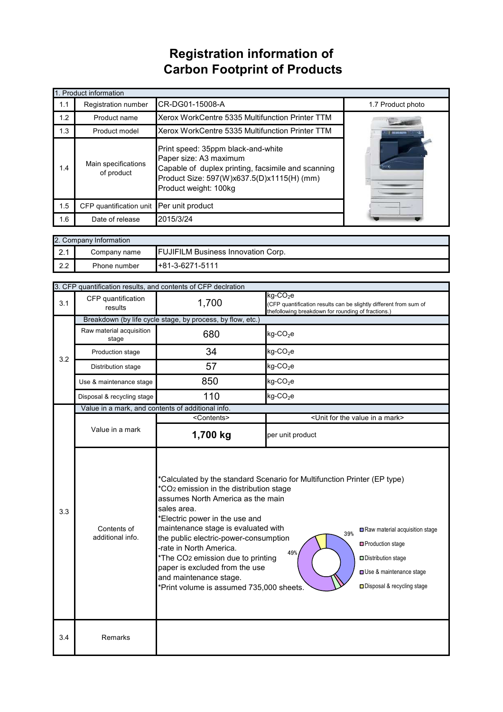## **Registration information of Carbon Footprint of Products**

| 1. Product information |                                   |                                                                                                                                                                                           |                   |  |  |
|------------------------|-----------------------------------|-------------------------------------------------------------------------------------------------------------------------------------------------------------------------------------------|-------------------|--|--|
| 1.1                    | Registration number               | CR-DG01-15008-A                                                                                                                                                                           | 1.7 Product photo |  |  |
| 1.2                    | Product name                      | Xerox WorkCentre 5335 Multifunction Printer TTM                                                                                                                                           |                   |  |  |
| 1.3                    | Product model                     | Xerox WorkCentre 5335 Multifunction Printer TTM                                                                                                                                           |                   |  |  |
| 1.4                    | Main specifications<br>of product | Print speed: 35ppm black-and-white<br>Paper size: A3 maximum<br>Capable of duplex printing, facsimile and scanning<br>Product Size: 597(W)x637.5(D)x1115(H) (mm)<br>Product weight: 100kg |                   |  |  |
| 1.5                    | CFP quantification unit           | Per unit product                                                                                                                                                                          |                   |  |  |
| 1.6                    | Date of release                   | 2015/3/24                                                                                                                                                                                 |                   |  |  |

| 2. Company Information |              |                                           |  |
|------------------------|--------------|-------------------------------------------|--|
| ົດ 4<br>$\mathbf{Z}$ . | Company name | <b>FUJIFILM Business Innovation Corp.</b> |  |
| 2.2                    | Phone number | $H+81-3-6271-5111$                        |  |

|                                                                                                                                                                                                                                                                                                                                                                                                                                                                                                                                       | 3. CFP quantification results, and contents of CFP declration |                                                                                                                                       |                                                                                                                                                    |  |  |
|---------------------------------------------------------------------------------------------------------------------------------------------------------------------------------------------------------------------------------------------------------------------------------------------------------------------------------------------------------------------------------------------------------------------------------------------------------------------------------------------------------------------------------------|---------------------------------------------------------------|---------------------------------------------------------------------------------------------------------------------------------------|----------------------------------------------------------------------------------------------------------------------------------------------------|--|--|
| 3.1                                                                                                                                                                                                                                                                                                                                                                                                                                                                                                                                   | CFP quantification<br>results                                 | 1,700                                                                                                                                 | $kg$ -CO <sub>2</sub> e<br>(CFP quantification results can be slightly different from sum of<br>thefollowing breakdown for rounding of fractions.) |  |  |
| 3.2                                                                                                                                                                                                                                                                                                                                                                                                                                                                                                                                   |                                                               | Breakdown (by life cycle stage, by process, by flow, etc.)                                                                            |                                                                                                                                                    |  |  |
|                                                                                                                                                                                                                                                                                                                                                                                                                                                                                                                                       | Raw material acquisition<br>stage                             | 680                                                                                                                                   | $kg$ -CO <sub>2</sub> e                                                                                                                            |  |  |
|                                                                                                                                                                                                                                                                                                                                                                                                                                                                                                                                       | Production stage                                              | 34                                                                                                                                    | $kg$ -CO <sub>2</sub> e                                                                                                                            |  |  |
|                                                                                                                                                                                                                                                                                                                                                                                                                                                                                                                                       | Distribution stage                                            | 57                                                                                                                                    | $kg$ -CO <sub>2</sub> e                                                                                                                            |  |  |
|                                                                                                                                                                                                                                                                                                                                                                                                                                                                                                                                       | Use & maintenance stage                                       | 850                                                                                                                                   | $kg$ -CO <sub>2</sub> e                                                                                                                            |  |  |
|                                                                                                                                                                                                                                                                                                                                                                                                                                                                                                                                       | Disposal & recycling stage                                    | 110                                                                                                                                   | $kg$ -CO <sub>2</sub> e                                                                                                                            |  |  |
|                                                                                                                                                                                                                                                                                                                                                                                                                                                                                                                                       | Value in a mark, and contents of additional info.             |                                                                                                                                       |                                                                                                                                                    |  |  |
|                                                                                                                                                                                                                                                                                                                                                                                                                                                                                                                                       |                                                               | <contents></contents>                                                                                                                 | <unit a="" for="" in="" mark="" the="" value=""></unit>                                                                                            |  |  |
|                                                                                                                                                                                                                                                                                                                                                                                                                                                                                                                                       | Value in a mark                                               | 1,700 kg                                                                                                                              | per unit product                                                                                                                                   |  |  |
| *Calculated by the standard Scenario for Multifunction Printer (EP type)<br>*CO <sub>2</sub> emission in the distribution stage<br>assumes North America as the main<br>sales area.<br>3.3<br>*Electric power in the use and<br>maintenance stage is evaluated with<br>Contents of<br>39%<br>additional info.<br>the public electric-power-consumption<br>-rate in North America.<br>49%<br>*The CO2 emission due to printing<br>paper is excluded from the use<br>and maintenance stage.<br>*Print volume is assumed 735,000 sheets. |                                                               | Raw material acquisition stage<br>□ Production stage<br>Distribution stage<br>Use & maintenance stage<br>□ Disposal & recycling stage |                                                                                                                                                    |  |  |
| 3.4                                                                                                                                                                                                                                                                                                                                                                                                                                                                                                                                   | Remarks                                                       |                                                                                                                                       |                                                                                                                                                    |  |  |